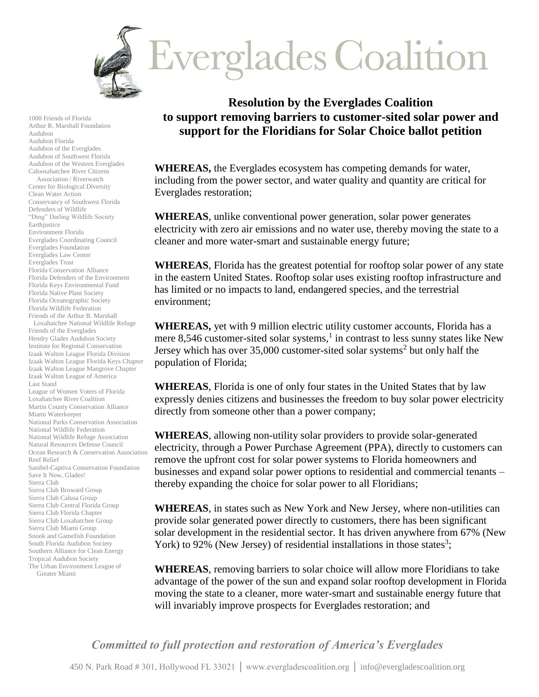

1000 Friends of Florida Arthur R. Marshall Foundation Audubon Audubon Florida Audubon of the Everglades Audubon of Southwest Florida Audubon of the Western Everglades Caloosahatchee River Citizens Association / Riverwatch Center for Biological Diversity Clean Water Action Conservancy of Southwest Florida Defenders of Wildlife "Ding" Darling Wildlife Society Earthjustice Environment Florida Everglades Coordinating Council Everglades Foundation Everglades Law Center Everglades Trust Florida Conservation Alliance Florida Defenders of the Environment Florida Keys Environmental Fund Florida Native Plant Society Florida Oceanographic Society Florida Wildlife Federation Friends of the Arthur R. Marshall Loxahatchee National Wildlife Refuge Friends of the Everglades Hendry Glades Audubon Society Institute for Regional Conservation Izaak Walton League Florida Division Izaak Walton League Florida Keys Chapter Izaak Walton League Mangrove Chapter Izaak Walton League of America Last Stand League of Women Voters of Florida Loxahatchee River Coalition Martin County Conservation Alliance Miami Waterkeeper National Parks Conservation Association National Wildlife Federation National Wildlife Refuge Association Natural Resources Defense Council Ocean Research & Conservation Association Reef Relief Sanibel-Captiva Conservation Foundation Save It Now, Glades! Sierra Club Sierra Club Broward Group Sierra Club Calusa Group Sierra Club Central Florida Group Sierra Club Florida Chapter Sierra Club Loxahatchee Group Sierra Club Miami Group Snook and Gamefish Foundation South Florida Audubon Society Southern Alliance for Clean Energy Tropical Audubon Society The Urban Environment League of Greater Miami

## **Resolution by the Everglades Coalition to support removing barriers to customer-sited solar power and support for the Floridians for Solar Choice ballot petition**

**WHEREAS,** the Everglades ecosystem has competing demands for water, including from the power sector, and water quality and quantity are critical for Everglades restoration;

**WHEREAS**, unlike conventional power generation, solar power generates electricity with zero air emissions and no water use, thereby moving the state to a cleaner and more water-smart and sustainable energy future;

**WHEREAS**, Florida has the greatest potential for rooftop solar power of any state in the eastern United States. Rooftop solar uses existing rooftop infrastructure and has limited or no impacts to land, endangered species, and the terrestrial environment;

**WHEREAS,** yet with 9 million electric utility customer accounts, Florida has a mere 8,546 customer-sited solar systems, $<sup>1</sup>$  in contrast to less sunny states like New</sup> Jersey which has over  $35,000$  customer-sited solar systems<sup>2</sup> but only half the population of Florida;

**WHEREAS**, Florida is one of only four states in the United States that by law expressly denies citizens and businesses the freedom to buy solar power electricity directly from someone other than a power company;

**WHEREAS**, allowing non-utility solar providers to provide solar-generated electricity, through a Power Purchase Agreement (PPA), directly to customers can remove the upfront cost for solar power systems to Florida homeowners and businesses and expand solar power options to residential and commercial tenants – thereby expanding the choice for solar power to all Floridians;

**WHEREAS**, in states such as New York and New Jersey, where non-utilities can provide solar generated power directly to customers, there has been significant solar development in the residential sector. It has driven anywhere from 67% (New York) to 92% (New Jersey) of residential installations in those states<sup>3</sup>;

**WHEREAS**, removing barriers to solar choice will allow more Floridians to take advantage of the power of the sun and expand solar rooftop development in Florida moving the state to a cleaner, more water-smart and sustainable energy future that will invariably improve prospects for Everglades restoration; and

*Committed to full protection and restoration of America's Everglades*